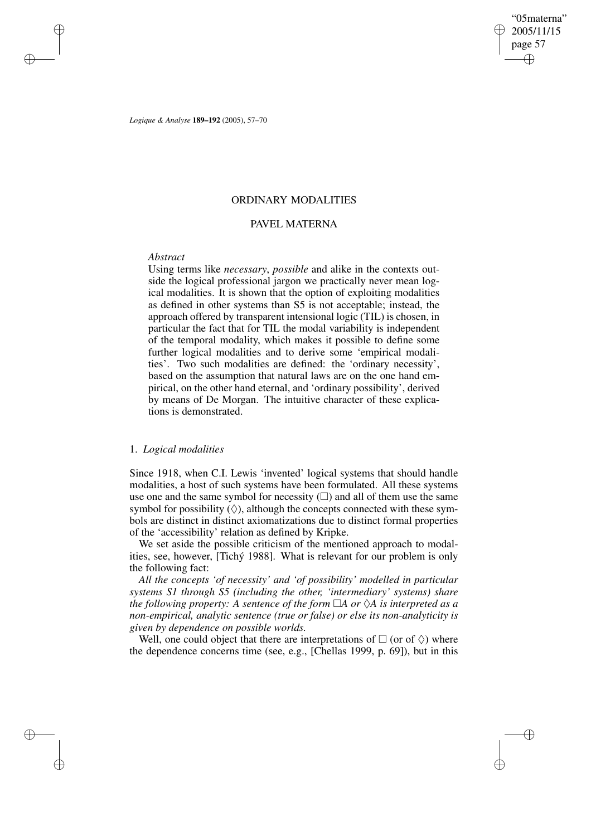✐

*Logique & Analyse* **189–192** (2005), 57–70

## ORDINARY MODALITIES

# PAVEL MATERNA

## *Abstract*

✐

✐

✐

✐

Using terms like *necessary*, *possible* and alike in the contexts outside the logical professional jargon we practically never mean logical modalities. It is shown that the option of exploiting modalities as defined in other systems than S5 is not acceptable; instead, the approach offered by transparent intensional logic (TIL) is chosen, in particular the fact that for TIL the modal variability is independent of the temporal modality, which makes it possible to define some further logical modalities and to derive some 'empirical modalities'. Two such modalities are defined: the 'ordinary necessity', based on the assumption that natural laws are on the one hand empirical, on the other hand eternal, and 'ordinary possibility', derived by means of De Morgan. The intuitive character of these explications is demonstrated.

## 1. *Logical modalities*

Since 1918, when C.I. Lewis 'invented' logical systems that should handle modalities, a host of such systems have been formulated. All these systems use one and the same symbol for necessity  $(\square)$  and all of them use the same symbol for possibility  $(\Diamond)$ , although the concepts connected with these symbols are distinct in distinct axiomatizations due to distinct formal properties of the 'accessibility' relation as defined by Kripke.

We set aside the possible criticism of the mentioned approach to modalities, see, however, [Tichý 1988]. What is relevant for our problem is only the following fact:

*All the concepts 'of necessity' and 'of possibility' modelled in particular systems S1 through S5 (including the other, 'intermediary' systems) share the following property:* A *sentence of the form*  $\Box A$  *or*  $\Diamond A$  *is interpreted as a non-empirical, analytic sentence (true or false) or else its non-analyticity is given by dependence on possible worlds.*

Well, one could object that there are interpretations of  $\Box$  (or of  $\Diamond$ ) where the dependence concerns time (see, e.g., [Chellas 1999, p. 69]), but in this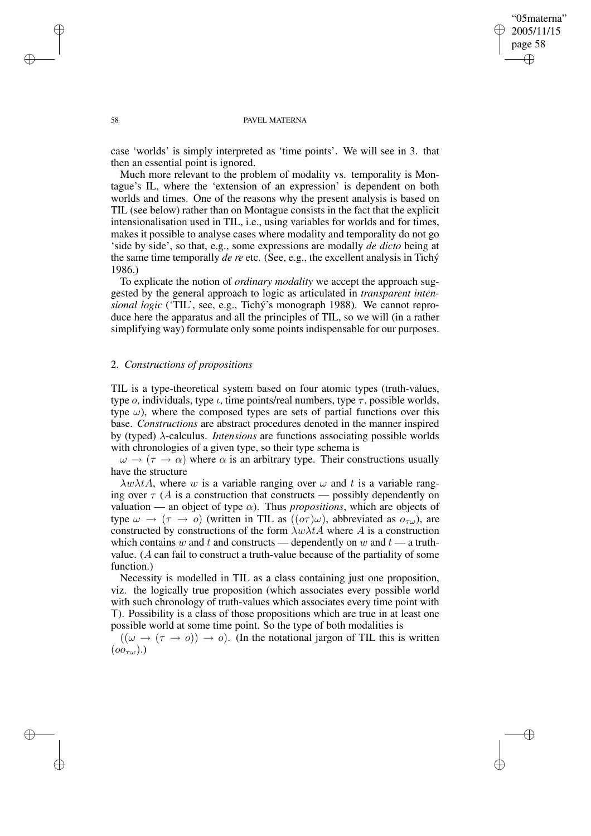✐

#### 58 PAVEL MATERNA

case 'worlds' is simply interpreted as 'time points'. We will see in 3. that then an essential point is ignored.

Much more relevant to the problem of modality vs. temporality is Montague's IL, where the 'extension of an expression' is dependent on both worlds and times. One of the reasons why the present analysis is based on TIL (see below) rather than on Montague consists in the fact that the explicit intensionalisation used in TIL, i.e., using variables for worlds and for times, makes it possible to analyse cases where modality and temporality do not go 'side by side', so that, e.g., some expressions are modally *de dicto* being at the same time temporally *de re* etc. (See, e.g., the excellent analysis in Tichý 1986.)

To explicate the notion of *ordinary modality* we accept the approach suggested by the general approach to logic as articulated in *transparent intensional logic* ('TIL', see, e.g., Tichý's monograph 1988). We cannot reproduce here the apparatus and all the principles of TIL, so we will (in a rather simplifying way) formulate only some points indispensable for our purposes.

### 2. *Constructions of propositions*

TIL is a type-theoretical system based on four atomic types (truth-values, type *o*, individuals, type  $\iota$ , time points/real numbers, type  $\tau$ , possible worlds, type  $\omega$ ), where the composed types are sets of partial functions over this base. *Constructions* are abstract procedures denoted in the manner inspired by (typed) λ-calculus. *Intensions* are functions associating possible worlds with chronologies of a given type, so their type schema is

 $\omega \to (\tau \to \alpha)$  where  $\alpha$  is an arbitrary type. Their constructions usually have the structure

 $\lambda w \lambda t$ A, where w is a variable ranging over  $\omega$  and t is a variable ranging over  $\tau$  (A is a construction that constructs — possibly dependently on valuation — an object of type  $\alpha$ ). Thus *propositions*, which are objects of type  $\omega \to (\tau \to o)$  (written in TIL as  $((o\tau)\omega)$ , abbreviated as  $o_{\tau\omega}$ ), are constructed by constructions of the form  $\lambda w \lambda t$  where A is a construction which contains w and t and constructs — dependently on w and  $t$  — a truthvalue. (A can fail to construct a truth-value because of the partiality of some function.)

Necessity is modelled in TIL as a class containing just one proposition, viz. the logically true proposition (which associates every possible world with such chronology of truth-values which associates every time point with T). Possibility is a class of those propositions which are true in at least one possible world at some time point. So the type of both modalities is

 $((\omega \rightarrow (\tau \rightarrow o)) \rightarrow o)$ . (In the notational jargon of TIL this is written  $(oo_{\tau\omega})$ .)

✐

✐

✐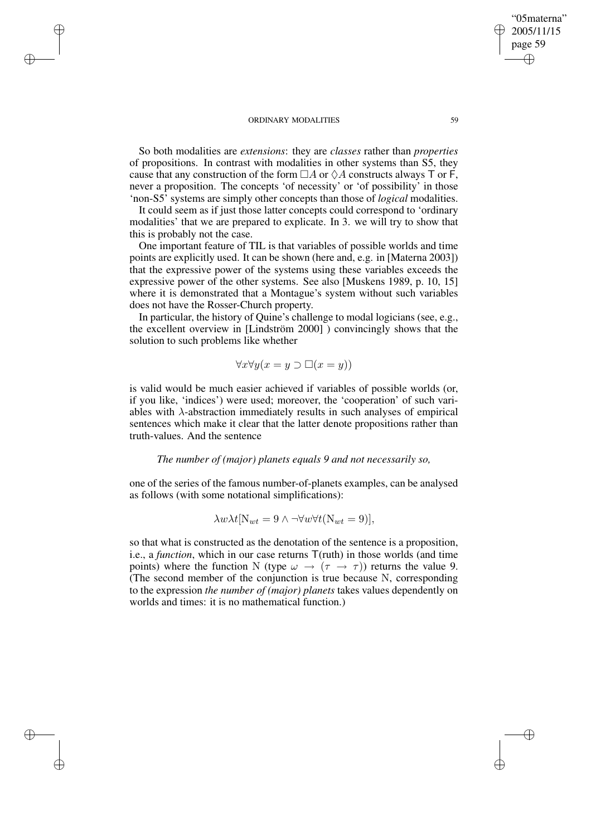✐

✐

✐

✐

So both modalities are *extensions*: they are *classes* rather than *properties* of propositions. In contrast with modalities in other systems than S5, they cause that any construction of the form  $\Box A$  or  $\Diamond A$  constructs always T or F, never a proposition. The concepts 'of necessity' or 'of possibility' in those 'non-S5' systems are simply other concepts than those of *logical* modalities.

It could seem as if just those latter concepts could correspond to 'ordinary modalities' that we are prepared to explicate. In 3. we will try to show that this is probably not the case.

One important feature of TIL is that variables of possible worlds and time points are explicitly used. It can be shown (here and, e.g. in [Materna 2003]) that the expressive power of the systems using these variables exceeds the expressive power of the other systems. See also [Muskens 1989, p. 10, 15] where it is demonstrated that a Montague's system without such variables does not have the Rosser-Church property.

In particular, the history of Quine's challenge to modal logicians (see, e.g., the excellent overview in [Lindström 2000] ) convincingly shows that the solution to such problems like whether

$$
\forall x \forall y (x = y \supset \Box(x = y))
$$

is valid would be much easier achieved if variables of possible worlds (or, if you like, 'indices') were used; moreover, the 'cooperation' of such variables with  $\lambda$ -abstraction immediately results in such analyses of empirical sentences which make it clear that the latter denote propositions rather than truth-values. And the sentence

### *The number of (major) planets equals 9 and not necessarily so,*

one of the series of the famous number-of-planets examples, can be analysed as follows (with some notational simplifications):

$$
\lambda w \lambda t [N_{wt} = 9 \wedge \neg \forall w \forall t (N_{wt} = 9)],
$$

so that what is constructed as the denotation of the sentence is a proposition, i.e., a *function*, which in our case returns T(ruth) in those worlds (and time points) where the function N (type  $\omega \to (\tau \to \tau)$ ) returns the value 9. (The second member of the conjunction is true because N, corresponding to the expression *the number of (major) planets* takes values dependently on worlds and times: it is no mathematical function.)

"05materna" 2005/11/15 page 59

✐

✐

✐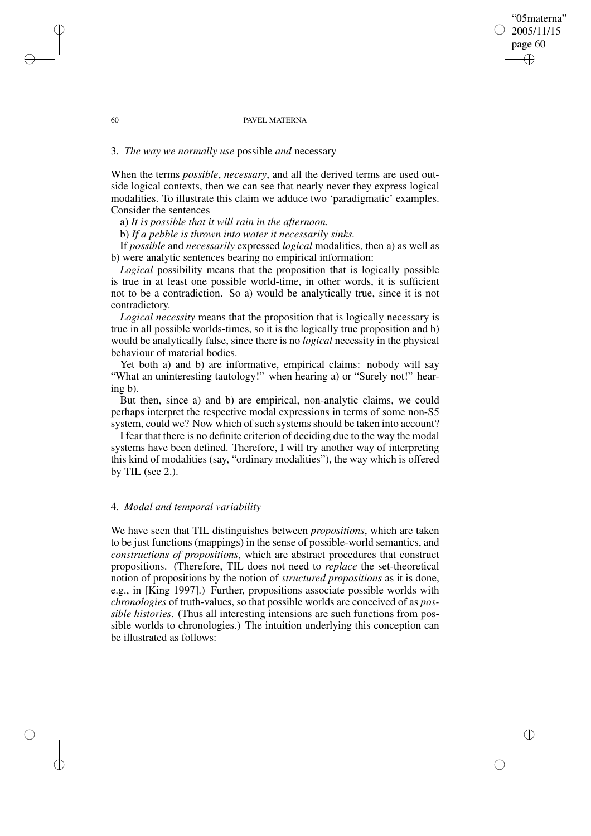#### 60 PAVEL MATERNA

# 3. *The way we normally use* possible *and* necessary

When the terms *possible*, *necessary*, and all the derived terms are used outside logical contexts, then we can see that nearly never they express logical modalities. To illustrate this claim we adduce two 'paradigmatic' examples. Consider the sentences

a) *It is possible that it will rain in the afternoon.*

b) *If a pebble is thrown into water it necessarily sinks.*

If *possible* and *necessarily* expressed *logical* modalities, then a) as well as b) were analytic sentences bearing no empirical information:

*Logical* possibility means that the proposition that is logically possible is true in at least one possible world-time, in other words, it is sufficient not to be a contradiction. So a) would be analytically true, since it is not contradictory.

*Logical necessity* means that the proposition that is logically necessary is true in all possible worlds-times, so it is the logically true proposition and b) would be analytically false, since there is no *logical* necessity in the physical behaviour of material bodies.

Yet both a) and b) are informative, empirical claims: nobody will say "What an uninteresting tautology!" when hearing a) or "Surely not!" hearing b).

But then, since a) and b) are empirical, non-analytic claims, we could perhaps interpret the respective modal expressions in terms of some non-S5 system, could we? Now which of such systems should be taken into account?

I fear that there is no definite criterion of deciding due to the way the modal systems have been defined. Therefore, I will try another way of interpreting this kind of modalities (say, "ordinary modalities"), the way which is offered by TIL (see 2.).

# 4. *Modal and temporal variability*

We have seen that TIL distinguishes between *propositions*, which are taken to be just functions (mappings) in the sense of possible-world semantics, and *constructions of propositions*, which are abstract procedures that construct propositions. (Therefore, TIL does not need to *replace* the set-theoretical notion of propositions by the notion of *structured propositions* as it is done, e.g., in [King 1997].) Further, propositions associate possible worlds with *chronologies* of truth-values, so that possible worlds are conceived of as *possible histories*. (Thus all interesting intensions are such functions from possible worlds to chronologies.) The intuition underlying this conception can be illustrated as follows:

✐

✐

✐

✐

# "05materna" 2005/11/15 page 60 ✐ ✐

✐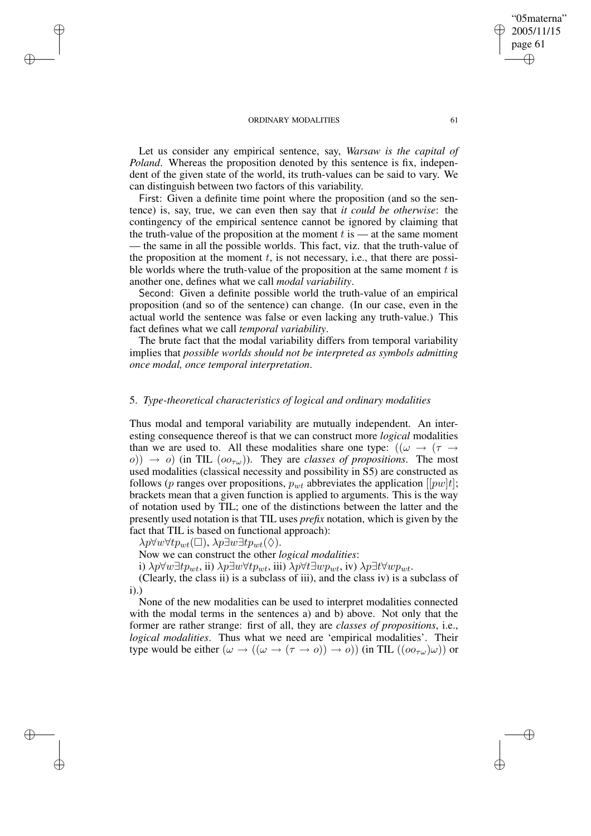Let us consider any empirical sentence, say, *Warsaw is the capital of Poland*. Whereas the proposition denoted by this sentence is fix, independent of the given state of the world, its truth-values can be said to vary. We can distinguish between two factors of this variability.

First: Given a definite time point where the proposition (and so the sentence) is, say, true, we can even then say that *it could be otherwise*: the contingency of the empirical sentence cannot be ignored by claiming that the truth-value of the proposition at the moment  $t$  is — at the same moment — the same in all the possible worlds. This fact, viz. that the truth-value of the proposition at the moment  $t$ , is not necessary, i.e., that there are possible worlds where the truth-value of the proposition at the same moment  $t$  is another one, defines what we call *modal variability*.

Second: Given a definite possible world the truth-value of an empirical proposition (and so of the sentence) can change. (In our case, even in the actual world the sentence was false or even lacking any truth-value.) This fact defines what we call *temporal variability*.

The brute fact that the modal variability differs from temporal variability implies that *possible worlds should not be interpreted as symbols admitting once modal, once temporal interpretation*.

## 5. *Type-theoretical characteristics of logical and ordinary modalities*

Thus modal and temporal variability are mutually independent. An interesting consequence thereof is that we can construct more *logical* modalities than we are used to. All these modalities share one type:  $((\omega \rightarrow (\tau \rightarrow$  $\sigma$ ))  $\rightarrow$  *o*) (in TIL ( $oo_{\tau\omega}$ )). They are *classes of propositions*. The most used modalities (classical necessity and possibility in S5) are constructed as follows (p ranges over propositions,  $p_{wt}$  abbreviates the application [[pw]t]; brackets mean that a given function is applied to arguments. This is the way of notation used by TIL; one of the distinctions between the latter and the presently used notation is that TIL uses *prefix* notation, which is given by the fact that TIL is based on functional approach):

 $\lambda p \forall w \forall tp_{wt}(\Box), \lambda p \exists w \exists tp_{wt}(\Diamond).$ 

✐

✐

✐

✐

Now we can construct the other *logical modalities*:

i)  $\lambda p \forall w \exists t p_{wt}$ , ii)  $\lambda p \exists w \forall t p_{wt}$ , iii)  $\lambda p \forall t \exists w p_{wt}$ , iv)  $\lambda p \exists t \forall w p_{wt}$ .

(Clearly, the class ii) is a subclass of iii), and the class iv) is a subclass of i).)

None of the new modalities can be used to interpret modalities connected with the modal terms in the sentences a) and b) above. Not only that the former are rather strange: first of all, they are *classes of propositions*, i.e., *logical modalities*. Thus what we need are 'empirical modalities'. Their type would be either  $(\omega \to ((\omega \to (\tau \to o)) \to o))$  (in TIL  $((oo_{\tau\omega})\omega)$ ) or

"05materna" 2005/11/15 page 61

✐

✐

✐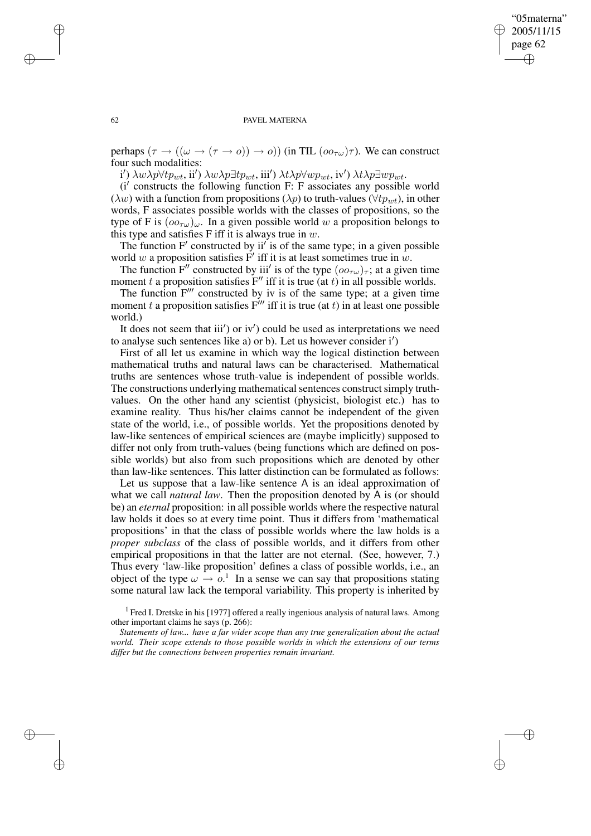✐

#### 62 PAVEL MATERNA

perhaps  $(\tau \to ((\omega \to (\tau \to o)) \to o))$  (in TIL  $(o_{\tau\omega})\tau)$ ). We can construct four such modalities:

 $i'$ ) λwλp∀t $p_{wt}$ , ii') λwλp∃t $p_{wt}$ , iii') λtλp∀w $p_{wt}$ , iv') λtλp∃w $p_{wt}$ .

(i' constructs the following function F: F associates any possible world ( $\lambda w$ ) with a function from propositions ( $\lambda p$ ) to truth-values ( $\forall tp_{wt}$ ), in other words, F associates possible worlds with the classes of propositions, so the type of F is  $(oo_{\tau\omega})_\omega$ . In a given possible world w a proposition belongs to this type and satisfies F iff it is always true in  $w$ .

The function  $F'$  constructed by ii' is of the same type; in a given possible world w a proposition satisfies  $F'$  iff it is at least sometimes true in w.

The function F'' constructed by iii' is of the type  $(o\sigma_{\tau\omega})_{\tau}$ ; at a given time moment t a proposition satisfies  $F''$  iff it is true (at t) in all possible worlds.

The function  $F'''$  constructed by iv is of the same type; at a given time moment t a proposition satisfies  $F'''$  iff it is true (at t) in at least one possible world.)

It does not seem that iii') or iv') could be used as interpretations we need to analyse such sentences like a) or b). Let us however consider  $i'$ 

First of all let us examine in which way the logical distinction between mathematical truths and natural laws can be characterised. Mathematical truths are sentences whose truth-value is independent of possible worlds. The constructions underlying mathematical sentences construct simply truthvalues. On the other hand any scientist (physicist, biologist etc.) has to examine reality. Thus his/her claims cannot be independent of the given state of the world, i.e., of possible worlds. Yet the propositions denoted by law-like sentences of empirical sciences are (maybe implicitly) supposed to differ not only from truth-values (being functions which are defined on possible worlds) but also from such propositions which are denoted by other than law-like sentences. This latter distinction can be formulated as follows:

Let us suppose that a law-like sentence A is an ideal approximation of what we call *natural law*. Then the proposition denoted by A is (or should be) an *eternal* proposition: in all possible worlds where the respective natural law holds it does so at every time point. Thus it differs from 'mathematical propositions' in that the class of possible worlds where the law holds is a *proper subclass* of the class of possible worlds, and it differs from other empirical propositions in that the latter are not eternal. (See, however, 7.) Thus every 'law-like proposition' defines a class of possible worlds, i.e., an object of the type  $\omega \to o$ <sup>1</sup>. In a sense we can say that propositions stating some natural law lack the temporal variability. This property is inherited by

<sup>1</sup> Fred I. Dretske in his [1977] offered a really ingenious analysis of natural laws. Among other important claims he says (p. 266):

*Statements of law... have a far wider scope than any true generalization about the actual world. Their scope extends to those possible worlds in which the extensions of our terms differ but the connections between properties remain invariant.*

✐

✐

✐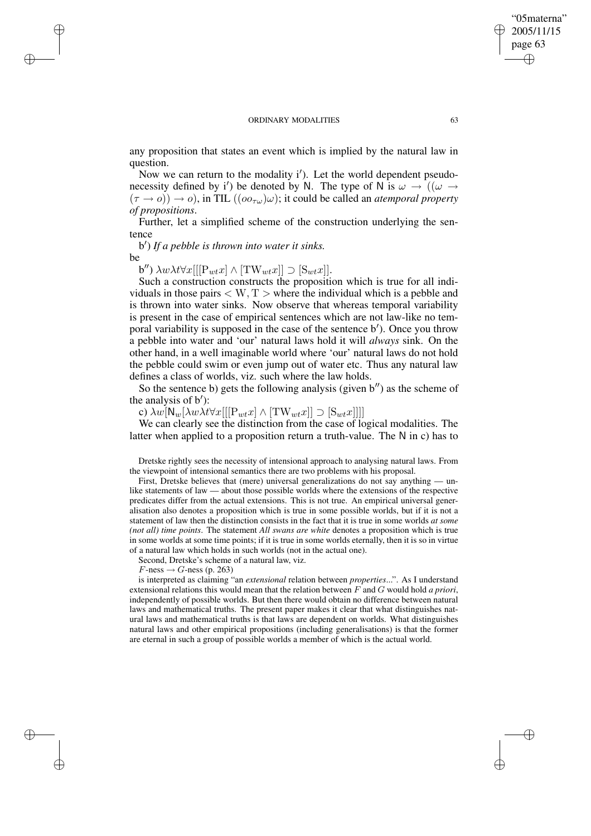any proposition that states an event which is implied by the natural law in question.

Now we can return to the modality i'). Let the world dependent pseudonecessity defined by i') be denoted by N. The type of N is  $\omega \to ((\omega \to$  $(\tau \to o)$ )  $\to o$ ), in TIL  $((oo_{\tau\omega})\omega)$ ; it could be called an *atemporal property of propositions*.

Further, let a simplified scheme of the construction underlying the sentence

b 0 ) *If a pebble is thrown into water it sinks.* be

✐

✐

✐

✐

b")  $\lambda w \lambda t \forall x [[[P_{wt}x] \wedge [TW_{wt}x]] \supset [S_{wt}x]].$ 

Such a construction constructs the proposition which is true for all individuals in those pairs  $\langle W, T \rangle$  where the individual which is a pebble and is thrown into water sinks. Now observe that whereas temporal variability is present in the case of empirical sentences which are not law-like no temporal variability is supposed in the case of the sentence b'). Once you throw a pebble into water and 'our' natural laws hold it will *always* sink. On the other hand, in a well imaginable world where 'our' natural laws do not hold the pebble could swim or even jump out of water etc. Thus any natural law defines a class of worlds, viz. such where the law holds.

So the sentence b) gets the following analysis (given  $b''$ ) as the scheme of the analysis of  $b'$ ):

c)  $\lambda w[\mathsf{N}_w[\lambda w \lambda t \forall x[[[\mathsf{P}_{wt} x] \wedge [\mathsf{TW}_{wt} x]]] \supset [\mathsf{S}_{wt} x]]]$ 

We can clearly see the distinction from the case of logical modalities. The latter when applied to a proposition return a truth-value. The N in c) has to

Dretske rightly sees the necessity of intensional approach to analysing natural laws. From the viewpoint of intensional semantics there are two problems with his proposal.

First, Dretske believes that (mere) universal generalizations do not say anything — unlike statements of law — about those possible worlds where the extensions of the respective predicates differ from the actual extensions. This is not true. An empirical universal generalisation also denotes a proposition which is true in some possible worlds, but if it is not a statement of law then the distinction consists in the fact that it is true in some worlds *at some (not all) time points*. The statement *All swans are white* denotes a proposition which is true in some worlds at some time points; if it is true in some worlds eternally, then it is so in virtue of a natural law which holds in such worlds (not in the actual one).

Second, Dretske's scheme of a natural law, viz.

 $F$ -ness  $\rightarrow$   $G$ -ness (p. 263)

is interpreted as claiming "an *extensional* relation between *properties*...". As I understand extensional relations this would mean that the relation between F and G would hold *a priori*, independently of possible worlds. But then there would obtain no difference between natural laws and mathematical truths. The present paper makes it clear that what distinguishes natural laws and mathematical truths is that laws are dependent on worlds. What distinguishes natural laws and other empirical propositions (including generalisations) is that the former are eternal in such a group of possible worlds a member of which is the actual world.

"05materna" 2005/11/15 page 63

✐

✐

✐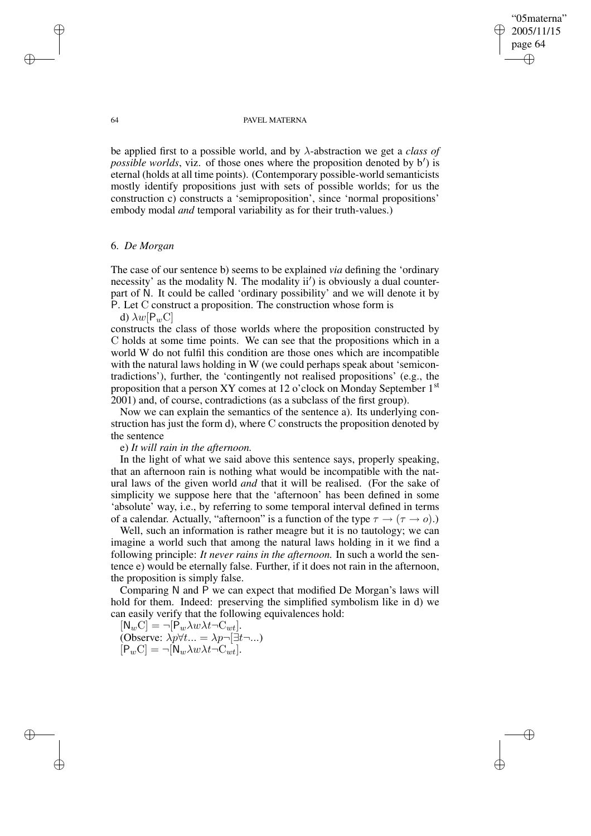## "05materna" 2005/11/15 page 64 ✐ ✐

✐

✐

#### 64 PAVEL MATERNA

be applied first to a possible world, and by λ-abstraction we get a *class of* possible *worlds*, viz. of those ones where the proposition denoted by b') is eternal (holds at all time points). (Contemporary possible-world semanticists mostly identify propositions just with sets of possible worlds; for us the construction c) constructs a 'semiproposition', since 'normal propositions' embody modal *and* temporal variability as for their truth-values.)

# 6. *De Morgan*

The case of our sentence b) seems to be explained *via* defining the 'ordinary necessity' as the modality N. The modality  $ii'$ ) is obviously a dual counterpart of N. It could be called 'ordinary possibility' and we will denote it by P. Let C construct a proposition. The construction whose form is

d)  $\lambda w[P_wC]$ 

constructs the class of those worlds where the proposition constructed by C holds at some time points. We can see that the propositions which in a world W do not fulfil this condition are those ones which are incompatible with the natural laws holding in W (we could perhaps speak about 'semicontradictions'), further, the 'contingently not realised propositions' (e.g., the proposition that a person XY comes at 12 o'clock on Monday September 1<sup>st</sup> 2001) and, of course, contradictions (as a subclass of the first group).

Now we can explain the semantics of the sentence a). Its underlying construction has just the form d), where C constructs the proposition denoted by the sentence

# e) *It will rain in the afternoon.*

In the light of what we said above this sentence says, properly speaking, that an afternoon rain is nothing what would be incompatible with the natural laws of the given world *and* that it will be realised. (For the sake of simplicity we suppose here that the 'afternoon' has been defined in some 'absolute' way, i.e., by referring to some temporal interval defined in terms of a calendar. Actually, "afternoon" is a function of the type  $\tau \to (\tau \to o)$ .)

Well, such an information is rather meagre but it is no tautology; we can imagine a world such that among the natural laws holding in it we find a following principle: *It never rains in the afternoon.* In such a world the sentence e) would be eternally false. Further, if it does not rain in the afternoon, the proposition is simply false.

Comparing N and P we can expect that modified De Morgan's laws will hold for them. Indeed: preserving the simplified symbolism like in d) we can easily verify that the following equivalences hold:

 $[N_wC] = \neg[\dot{P}_w \lambda w \lambda t \neg C_{wt}].$ (Observe:  $\lambda p \forall t... = \lambda p \neg [\exists t \neg ...]$  $[P_wC] = \neg [N_w \lambda w \lambda t \neg C_{wt}].$ 

✐

✐

✐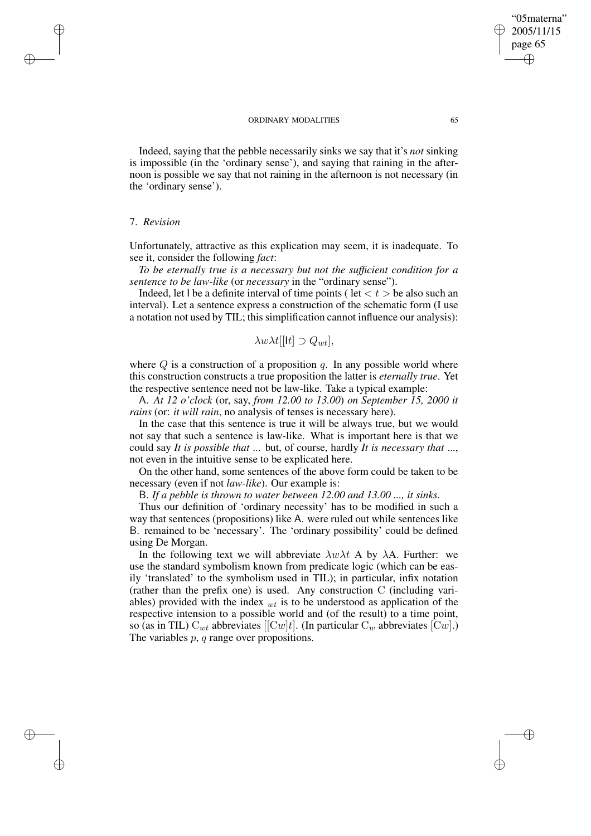Indeed, saying that the pebble necessarily sinks we say that it's *not* sinking is impossible (in the 'ordinary sense'), and saying that raining in the afternoon is possible we say that not raining in the afternoon is not necessary (in the 'ordinary sense').

### 7. *Revision*

✐

✐

✐

✐

Unfortunately, attractive as this explication may seem, it is inadequate. To see it, consider the following *fact*:

*To be eternally true is a necessary but not the sufficient condition for a sentence to be law-like* (or *necessary* in the "ordinary sense").

Indeed, let I be a definite interval of time points ( let  $\langle t \rangle$  be also such an interval). Let a sentence express a construction of the schematic form (I use a notation not used by TIL; this simplification cannot influence our analysis):

$$
\lambda w \lambda t[[t]] \supset Q_{wt}],
$$

where  $Q$  is a construction of a proposition q. In any possible world where this construction constructs a true proposition the latter is *eternally true*. Yet the respective sentence need not be law-like. Take a typical example:

A. *At 12 o'clock* (or, say, *from 12.00 to 13.00*) *on September 15, 2000 it rains* (or: *it will rain*, no analysis of tenses is necessary here).

In the case that this sentence is true it will be always true, but we would not say that such a sentence is law-like. What is important here is that we could say *It is possible that* ... but, of course, hardly *It is necessary that* ..., not even in the intuitive sense to be explicated here.

On the other hand, some sentences of the above form could be taken to be necessary (even if not *law-like*). Our example is:

B. *If a pebble is thrown to water between 12.00 and 13.00 ..., it sinks.*

Thus our definition of 'ordinary necessity' has to be modified in such a way that sentences (propositions) like A. were ruled out while sentences like B. remained to be 'necessary'. The 'ordinary possibility' could be defined using De Morgan.

In the following text we will abbreviate  $\lambda w \lambda t$  A by  $\lambda A$ . Further: we use the standard symbolism known from predicate logic (which can be easily 'translated' to the symbolism used in TIL); in particular, infix notation (rather than the prefix one) is used. Any construction C (including variables) provided with the index  $_{wt}$  is to be understood as application of the respective intension to a possible world and (of the result) to a time point, so (as in TIL)  $C_{wt}$  abbreviates [ $Cw|t$ ]. (In particular  $C_w$  abbreviates  $[Cw]$ .) The variables p, q range over propositions.

"05materna" 2005/11/15 page 65

✐

✐

✐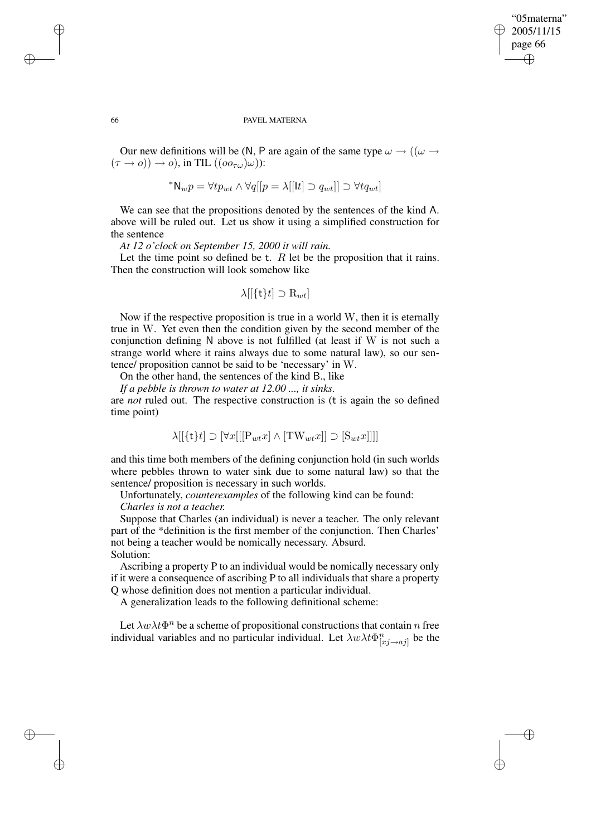## "05materna" 2005/11/15 page 66 ✐ ✐

✐

✐

#### 66 PAVEL MATERNA

Our new definitions will be (N, P are again of the same type  $\omega \rightarrow ((\omega \rightarrow$  $(\tau \to o)) \to o$ ), in TIL  $((oo_{\tau\omega})\omega)$ :

$$
^{\ast} \mathsf{N}_{w} p = \forall tp_{wt} \land \forall q[[p = \lambda[[\mathsf{It}] \supset q_{wt}]] \supset \forall tq_{wt}]
$$

We can see that the propositions denoted by the sentences of the kind A. above will be ruled out. Let us show it using a simplified construction for the sentence

*At 12 o'clock on September 15, 2000 it will rain.*

Let the time point so defined be t.  $R$  let be the proposition that it rains. Then the construction will look somehow like

$$
\lambda[[\{\mathsf{t}\}t]\supset\mathbf{R}_{wt}]
$$

Now if the respective proposition is true in a world W, then it is eternally true in W. Yet even then the condition given by the second member of the conjunction defining N above is not fulfilled (at least if W is not such a strange world where it rains always due to some natural law), so our sentence/ proposition cannot be said to be 'necessary' in W.

On the other hand, the sentences of the kind B., like

*If a pebble is thrown to water at 12.00 ..., it sinks.*

are *not* ruled out. The respective construction is (t is again the so defined time point)

$$
\lambda[[\{\mathbf{t}\}t] \supset [\forall x[[\mathbf{P}_{wt}x] \land [\mathbf{TW}_{wt}x]] \supset [\mathbf{S}_{wt}x]]]]
$$

and this time both members of the defining conjunction hold (in such worlds where pebbles thrown to water sink due to some natural law) so that the sentence/ proposition is necessary in such worlds.

Unfortunately, *counterexamples* of the following kind can be found:

### *Charles is not a teacher.*

Suppose that Charles (an individual) is never a teacher. The only relevant part of the \*definition is the first member of the conjunction. Then Charles' not being a teacher would be nomically necessary. Absurd. Solution:

Ascribing a property P to an individual would be nomically necessary only if it were a consequence of ascribing P to all individuals that share a property Q whose definition does not mention a particular individual.

A generalization leads to the following definitional scheme:

Let  $\lambda w \lambda t \Phi^n$  be a scheme of propositional constructions that contain n free individual variables and no particular individual. Let  $\lambda w \lambda t \Phi_{[x_j \to a_j]}^n$  be the

✐

✐

✐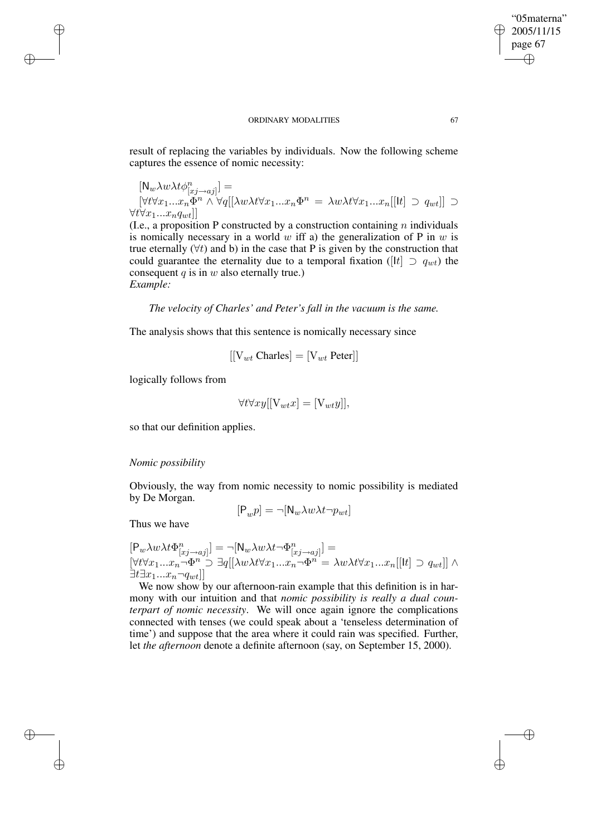result of replacing the variables by individuals. Now the following scheme captures the essence of nomic necessity:

 $[N_w \lambda w \lambda t \phi_{[xj \to aj]}^n] =$  $[\forall t \forall x_1...x_n \check{\Phi}^n \land \forall q[[\lambda w \lambda t \forall x_1...x_n \Phi^n = \lambda w \lambda t \forall x_1...x_n[[t] \supset q_{wt}]] \supset$  $\forall t \forall x_1...x_nq_{wt}$ ]] ]]

(I.e., a proposition P constructed by a construction containing  $n$  individuals is nomically necessary in a world w iff a) the generalization of P in  $w$  is true eternally  $(\forall t)$  and b) in the case that P is given by the construction that could guarantee the eternality due to a temporal fixation ( $|{\bf l}| \supset q_{wt}$ ) the consequent  $q$  is in  $w$  also eternally true.) *Example:*

*The velocity of Charles' and Peter's fall in the vacuum is the same.*

The analysis shows that this sentence is nomically necessary since

$$
[[V_{wt} Charles] = [V_{wt} Peter]]
$$

logically follows from

✐

✐

✐

✐

$$
\forall t \forall xy[[V_{wt}x] = [V_{wt}y]],
$$

so that our definition applies.

### *Nomic possibility*

Obviously, the way from nomic necessity to nomic possibility is mediated by De Morgan.

$$
[\mathsf{P}_w p] = \neg [\mathsf{N}_w \lambda w \lambda t \neg p_{wt}]
$$

Thus we have

$$
[P_w \lambda w \lambda t \Phi_{[x_j \to aj]}^n] = -[N_w \lambda w \lambda t \Phi_{[x_j \to aj]}^n] =
$$
  

$$
[\forall t \forall x_1 ... x_n \neg \Phi^n \supseteq \exists q[[\lambda w \lambda t \forall x_1 ... x_n \neg \Phi^n = \lambda w \lambda t \forall x_1 ... x_n[[tt] \supseteq q_{wt}]] \wedge
$$
  

$$
\exists t \exists x_1 ... x_n \neg q_{wt}]]
$$

We now show by our afternoon-rain example that this definition is in harmony with our intuition and that *nomic possibility is really a dual counterpart of nomic necessity*. We will once again ignore the complications connected with tenses (we could speak about a 'tenseless determination of time') and suppose that the area where it could rain was specified. Further, let *the afternoon* denote a definite afternoon (say, on September 15, 2000).

"05materna" 2005/11/15 page 67

✐

✐

✐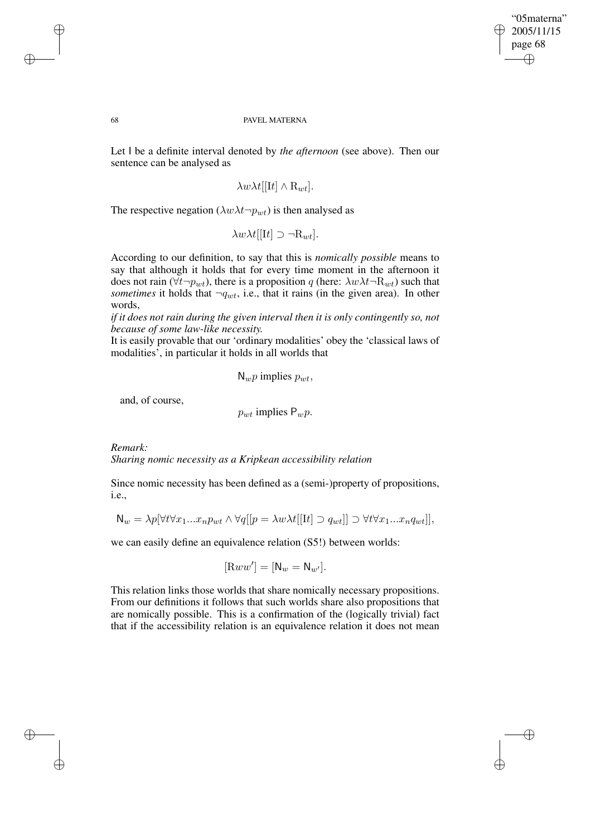✐

#### 68 PAVEL MATERNA

Let I be a definite interval denoted by *the afternoon* (see above). Then our sentence can be analysed as

$$
\lambda w \lambda t[[\mathrm{I}t] \wedge \mathrm{R}_{wt}].
$$

The respective negation ( $\lambda w \lambda t \neg p_{wt}$ ) is then analysed as

$$
\lambda w \lambda t[[\mathbf{I}t] \supset \neg \mathbf{R}_{wt}].
$$

According to our definition, to say that this is *nomically possible* means to say that although it holds that for every time moment in the afternoon it does not rain ( $\forall t \neg p_{wt}$ ), there is a proposition q (here:  $\lambda w \lambda t \neg R_{wt}$ ) such that *sometimes* it holds that  $\neg q_{wt}$ , i.e., that it rains (in the given area). In other words,

*if it does not rain during the given interval then it is only contingently so, not because of some law-like necessity.*

It is easily provable that our 'ordinary modalities' obey the 'classical laws of modalities', in particular it holds in all worlds that

$$
N_w p \text{ implies } p_{wt},
$$

and, of course,

 $p_{wt}$  implies  $P_w p$ .

*Remark: Sharing nomic necessity as a Kripkean accessibility relation*

Since nomic necessity has been defined as a (semi-)property of propositions, i.e.,

$$
\mathsf{N}_w = \lambda p[\forall t \forall x_1...x_n p_{wt} \land \forall q[[p = \lambda w \lambda t[[\mathrm{I}t] \supset q_{wt}]] \supset \forall t \forall x_1...x_n q_{wt}]],
$$

we can easily define an equivalence relation (S5!) between worlds:

$$
[\mathbf{R}ww'] = [\mathbf{N}_w = \mathbf{N}_{w'}].
$$

This relation links those worlds that share nomically necessary propositions. From our definitions it follows that such worlds share also propositions that are nomically possible. This is a confirmation of the (logically trivial) fact that if the accessibility relation is an equivalence relation it does not mean

✐

✐

✐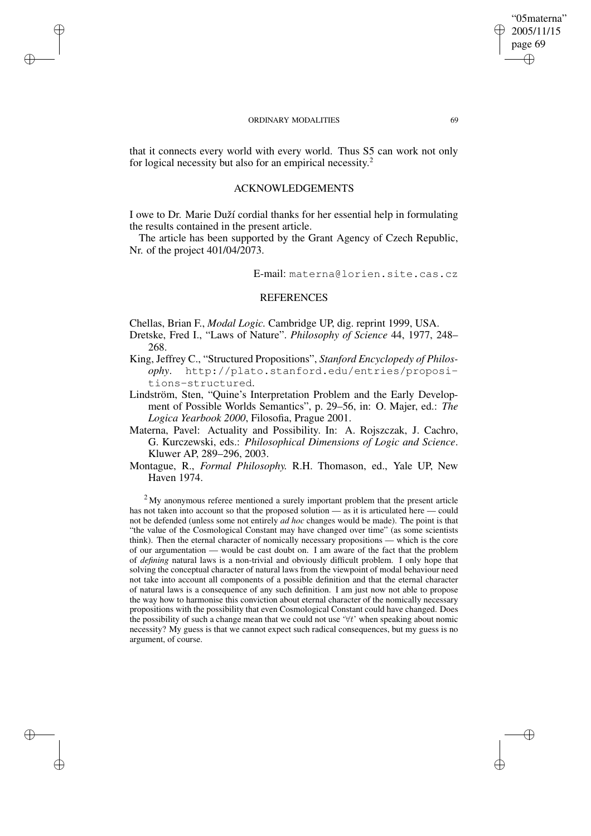✐

✐

✐

✐

that it connects every world with every world. Thus S5 can work not only for logical necessity but also for an empirical necessity.<sup>2</sup>

## ACKNOWLEDGEMENTS

I owe to Dr. Marie Duží cordial thanks for her essential help in formulating the results contained in the present article.

The article has been supported by the Grant Agency of Czech Republic, Nr. of the project 401/04/2073.

E-mail: materna@lorien.site.cas.cz

### **REFERENCES**

Chellas, Brian F., *Modal Logic.* Cambridge UP, dig. reprint 1999, USA.

Dretske, Fred I., "Laws of Nature". *Philosophy of Science* 44, 1977, 248– 268.

- King, Jeffrey C., "Structured Propositions", *Stanford Encyclopedy of Philosophy*. http://plato.stanford.edu/entries/propositions-structured.
- Lindström, Sten, "Quine's Interpretation Problem and the Early Development of Possible Worlds Semantics", p. 29–56, in: O. Majer, ed.: *The Logica Yearbook 2000*, Filosofia, Prague 2001.
- Materna, Pavel: Actuality and Possibility. In: A. Rojszczak, J. Cachro, G. Kurczewski, eds.: *Philosophical Dimensions of Logic and Science*. Kluwer AP, 289–296, 2003.
- Montague, R., *Formal Philosophy.* R.H. Thomason, ed., Yale UP, New Haven 1974.

 $2^2$ My anonymous referee mentioned a surely important problem that the present article has not taken into account so that the proposed solution — as it is articulated here — could not be defended (unless some not entirely *ad hoc* changes would be made). The point is that "the value of the Cosmological Constant may have changed over time" (as some scientists think). Then the eternal character of nomically necessary propositions — which is the core of our argumentation — would be cast doubt on. I am aware of the fact that the problem of *defining* natural laws is a non-trivial and obviously difficult problem. I only hope that solving the conceptual character of natural laws from the viewpoint of modal behaviour need not take into account all components of a possible definition and that the eternal character of natural laws is a consequence of any such definition. I am just now not able to propose the way how to harmonise this conviction about eternal character of the nomically necessary propositions with the possibility that even Cosmological Constant could have changed. Does the possibility of such a change mean that we could not use '∀t' when speaking about nomic necessity? My guess is that we cannot expect such radical consequences, but my guess is no argument, of course.

"05materna" 2005/11/15 page 69

✐

✐

✐